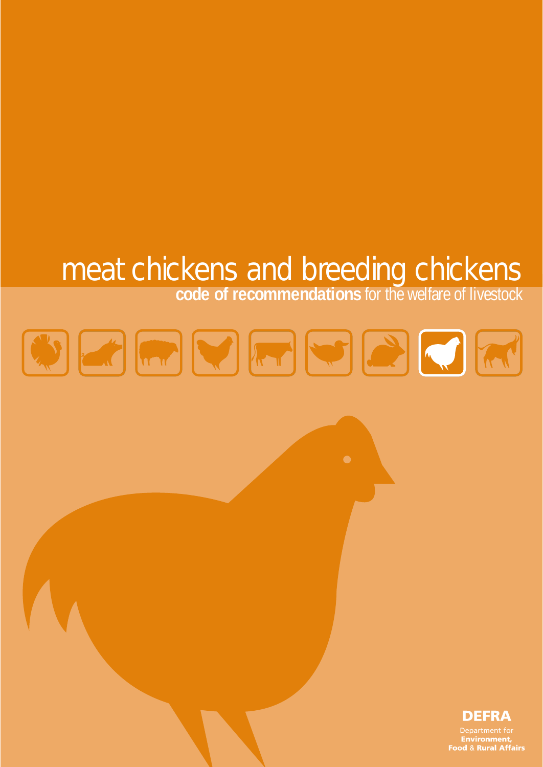# **meat chickens and breeding chickens**<br>**code of recommendations** for the welfare of livestock

# WEARRER BREAK

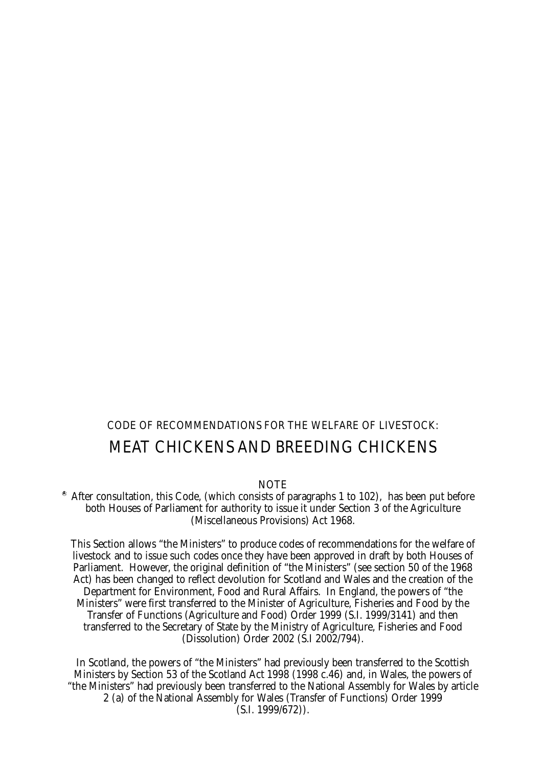# CODE OF RECOMMENDATIONS FOR THE WELFARE OF LIVESTOCK: MEAT CHICKENS AND BREEDING CHICKENS

**NOTE** 

After consultation, this Code, (which consists of paragraphs 1 to 102), has been put before **A**both Houses of Parliament for authority to issue it under Section 3 of the Agriculture (Miscellaneous Provisions) Act 1968.

This Section allows "the Ministers" to produce codes of recommendations for the welfare of livestock and to issue such codes once they have been approved in draft by both Houses of Parliament. However, the original definition of "the Ministers" (see section 50 of the 1968 Act) has been changed to reflect devolution for Scotland and Wales and the creation of the Department for Environment, Food and Rural Affairs. In England, the powers of "the Ministers" were first transferred to the Minister of Agriculture, Fisheries and Food by the Transfer of Functions (Agriculture and Food) Order 1999 (S.I. 1999/3141) and then transferred to the Secretary of State by the Ministry of Agriculture, Fisheries and Food (Dissolution) Order 2002 (S.I 2002/794).

In Scotland, the powers of "the Ministers" had previously been transferred to the Scottish Ministers by Section 53 of the Scotland Act 1998 (1998 c.46) and, in Wales, the powers of "the Ministers" had previously been transferred to the National Assembly for Wales by article 2 (a) of the National Assembly for Wales (Transfer of Functions) Order 1999 (S.I. 1999/672)).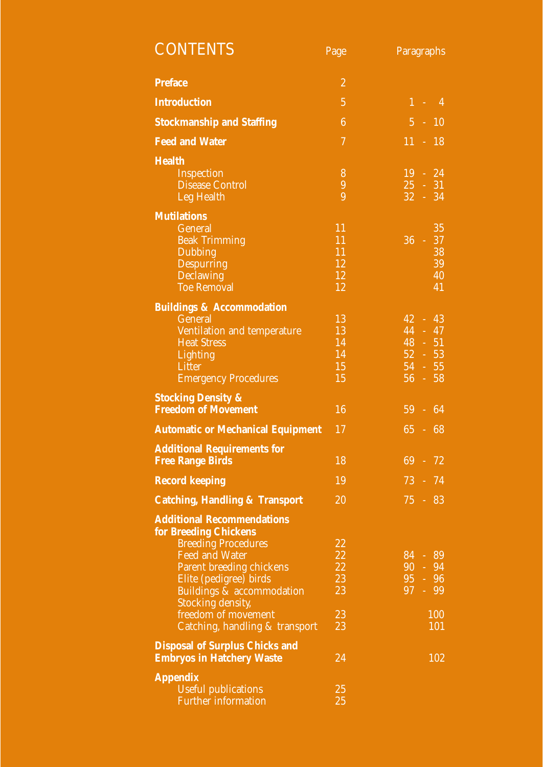| <b>CONTENTS</b>                                     | Page             | Paragraphs                                     |
|-----------------------------------------------------|------------------|------------------------------------------------|
| <b>Preface</b>                                      | $\overline{2}$   |                                                |
| <b>Introduction</b>                                 | $\overline{5}$   | $1 - 4$                                        |
| <b>Stockmanship and Staffing</b>                    | $\boldsymbol{6}$ | $5 - 10$                                       |
| <b>Feed and Water</b>                               | $\overline{7}$   | $11 - 18$                                      |
| <b>Health</b>                                       |                  |                                                |
| <b>Inspection</b><br><b>Disease Control</b>         | 8<br>9           | $19 - 24$<br>$25 - 31$                         |
| <b>Leg Health</b>                                   | 9                | $32 - 34$                                      |
| <b>Mutilations</b>                                  |                  |                                                |
| <b>General</b>                                      | 11               | 35                                             |
| <b>Beak Trimming</b>                                | 11               | 37<br>$36 -$                                   |
| <b>Dubbing</b>                                      | 11               | 38                                             |
| <b>Despurring</b>                                   | 12<br>12         | 39                                             |
| <b>Declawing</b><br><b>Toe Removal</b>              | 12               | 40<br>41                                       |
|                                                     |                  |                                                |
| <b>Buildings &amp; Accommodation</b><br>General     |                  |                                                |
| Ventilation and temperature                         | 13<br>13         | $42 - 43$<br>$\overline{44}$ - $\overline{47}$ |
| <b>Heat Stress</b>                                  | 14               | 48 - 51                                        |
| Lighting                                            | 14               | $52 - 53$                                      |
| Litter                                              | 15               | $54 - 55$                                      |
| <b>Emergency Procedures</b>                         | 15               | $56 - 58$                                      |
| <b>Stocking Density &amp;</b>                       |                  |                                                |
| <b>Freedom of Movement</b>                          | 16               | 59<br>$-64$                                    |
| <b>Automatic or Mechanical Equipment</b>            | 17               | 65<br>68<br>A.                                 |
| <b>Additional Requirements for</b>                  |                  |                                                |
| <b>Free Range Birds</b>                             | 18               | $69 - 72$                                      |
| <b>Record keeping</b>                               | 19               | 73 <sup>°</sup><br>74<br>$\omega_{\rm{eff}}$   |
| <b>Catching, Handling &amp; Transport</b>           | 20               | $75 - 83$                                      |
| <b>Additional Recommendations</b>                   |                  |                                                |
| for Breeding Chickens                               |                  |                                                |
| <b>Breeding Procedures</b><br><b>Feed and Water</b> | 22<br>22         |                                                |
| Parent breeding chickens                            | 22               | 84 - 89<br>$90 - 94$                           |
| Elite (pedigree) birds                              | 23               | $95 - 96$                                      |
| <b>Buildings &amp; accommodation</b>                | 23               | 97 - 99                                        |
| <b>Stocking density,</b>                            |                  |                                                |
| freedom of movement                                 | 23               | 100                                            |
| Catching, handling & transport                      | 23               | 101                                            |
| <b>Disposal of Surplus Chicks and</b>               |                  |                                                |
| <b>Embryos in Hatchery Waste</b>                    | 24               | 102                                            |
| <b>Appendix</b>                                     |                  |                                                |
| <b>Useful publications</b>                          | 25               |                                                |
| <b>Further information</b>                          | 25               |                                                |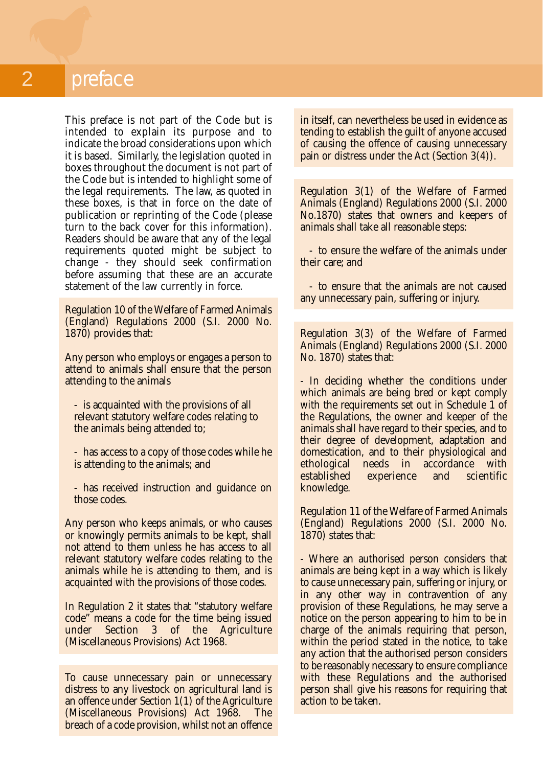# 2 preface

This preface is not part of the Code but is intended to explain its purpose and to indicate the broad considerations upon which it is based. Similarly, the legislation quoted in boxes throughout the document is not part of the Code but is intended to highlight some of the legal requirements. The law, as quoted in these boxes, is that in force on the date of publication or reprinting of the Code (please turn to the back cover for this information). Readers should be aware that any of the legal requirements quoted might be subject to change - they should seek confirmation before assuming that these are an accurate statement of the law currently in force.

Regulation 10 of the Welfare of Farmed Animals (England) Regulations 2000 (S.I. 2000 No. 1870) provides that:

Any person who employs or engages a person to attend to animals shall ensure that the person attending to the animals

- is acquainted with the provisions of all relevant statutory welfare codes relating to the animals being attended to;

- has access to a copy of those codes while he is attending to the animals; and

- has received instruction and guidance on those codes.

Any person who keeps animals, or who causes or knowingly permits animals to be kept, shall not attend to them unless he has access to all relevant statutory welfare codes relating to the animals while he is attending to them, and is acquainted with the provisions of those codes.

In Regulation 2 it states that "statutory welfare code" means a code for the time being issued under Section (Miscellaneous Provisions) Act 1968.

To cause unnecessary pain or unnecessary distress to any livestock on agricultural land is an offence under Section 1(1) of the Agriculture (Miscellaneous Provisions) Act 1968. The breach of a code provision, whilst not an offence

in itself, can nevertheless be used in evidence as tending to establish the guilt of anyone accused of causing the offence of causing unnecessary pain or distress under the Act (Section 3(4)).

Regulation 3(1) of the Welfare of Farmed Animals (England) Regulations 2000 (S.I. 2000 No.1870) states that owners and keepers of animals shall take all reasonable steps:

- to ensure the welfare of the animals under their care; and

- to ensure that the animals are not caused any unnecessary pain, suffering or injury.

Regulation 3(3) of the Welfare of Farmed Animals (England) Regulations 2000 (S.I. 2000 No. 1870) states that:

- In deciding whether the conditions under which animals are being bred or kept comply with the requirements set out in Schedule 1 of the Regulations, the owner and keeper of the animals shall have regard to their species, and to their degree of development, adaptation and domestication, and to their physiological and<br>ethological needs in accordance with needs in accordance with established experience and scientific knowledge.

Regulation 11 of the Welfare of Farmed Animals (England) Regulations 2000 (S.I. 2000 No. 1870) states that:

- Where an authorised person considers that animals are being kept in a way which is likely to cause unnecessary pain, suffering or injury, or in any other way in contravention of any provision of these Regulations, he may serve a notice on the person appearing to him to be in charge of the animals requiring that person, within the period stated in the notice, to take any action that the authorised person considers to be reasonably necessary to ensure compliance with these Regulations and the authorised person shall give his reasons for requiring that action to be taken.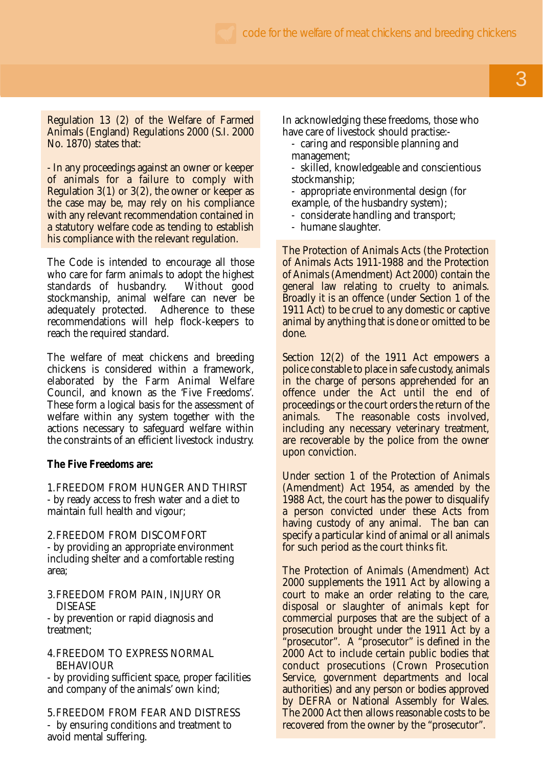Regulation 13 (2) of the Welfare of Farmed Animals (England) Regulations 2000 (S.I. 2000 No. 1870) states that:

- In any proceedings against an owner or keeper of animals for a failure to comply with Regulation 3(1) or 3(2), the owner or keeper as the case may be, may rely on his compliance with any relevant recommendation contained in a statutory welfare code as tending to establish his compliance with the relevant regulation.

The Code is intended to encourage all those who care for farm animals to adopt the highest standards of husbandry. Without good stockmanship, animal welfare can never be adequately protected. Adherence to these recommendations will help flock-keepers to reach the required standard.

The welfare of meat chickens and breeding chickens is considered within a framework, elaborated by the Farm Animal Welfare Council, and known as the 'Five Freedoms'. These form a logical basis for the assessment of welfare within any system together with the actions necessary to safeguard welfare within the constraints of an efficient livestock industry.

**The Five Freedoms are:**

1.FREEDOM FROM HUNGER AND THIRST - by ready access to fresh water and a diet to maintain full health and vigour;

#### 2.FREEDOM FROM DISCOMFORT

- by providing an appropriate environment including shelter and a comfortable resting area;

#### 3.FREEDOM FROM PAIN, INJURY OR DISEASE

- by prevention or rapid diagnosis and treatment;

#### 4.FREEDOM TO EXPRESS NORMAL BEHAVIOUR

- by providing sufficient space, proper facilities and company of the animals' own kind;

5.FREEDOM FROM FEAR AND DISTRESS - by ensuring conditions and treatment to avoid mental suffering.

In acknowledging these freedoms, those who have care of livestock should practise:-

- caring and responsible planning and management;

- skilled, knowledgeable and conscientious stockmanship;

- appropriate environmental design (for example, of the husbandry system);

- considerate handling and transport;
- humane slaughter.

The Protection of Animals Acts (the Protection of Animals Acts 1911-1988 and the Protection of Animals (Amendment) Act 2000) contain the general law relating to cruelty to animals. Broadly it is an offence (under Section 1 of the 1911 Act) to be cruel to any domestic or captive animal by anything that is done or omitted to be done.

Section 12(2) of the 1911 Act empowers a police constable to place in safe custody, animals in the charge of persons apprehended for an offence under the Act until the end of proceedings or the court orders the return of the animals. The reasonable costs involved, including any necessary veterinary treatment, are recoverable by the police from the owner upon conviction.

Under section 1 of the Protection of Animals (Amendment) Act 1954, as amended by the 1988 Act, the court has the power to disqualify a person convicted under these Acts from having custody of any animal. The ban can specify a particular kind of animal or all animals for such period as the court thinks fit.

The Protection of Animals (Amendment) Act 2000 supplements the 1911 Act by allowing a court to make an order relating to the care, disposal or slaughter of animals kept for commercial purposes that are the subject of a prosecution brought under the 1911 Act by a "prosecutor". A "prosecutor" is defined in the 2000 Act to include certain public bodies that conduct prosecutions (Crown Prosecution Service, government departments and local authorities) and any person or bodies approved by DEFRA or National Assembly for Wales. The 2000 Act then allows reasonable costs to be recovered from the owner by the "prosecutor".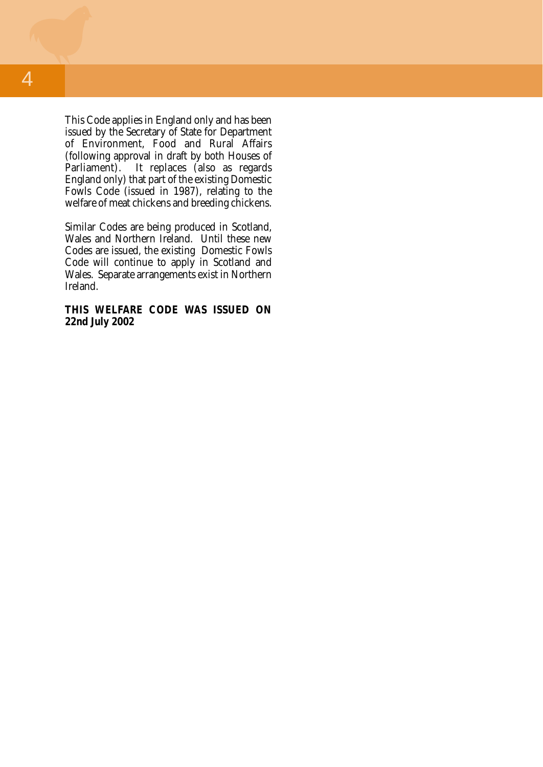This Code applies in England only and has been issued by the Secretary of State for Department of Environment, Food and Rural Affairs (following approval in draft by both Houses of<br>Parliament). It replaces (also as regards It replaces (also as regards England only) that part of the existing Domestic Fowls Code (issued in 1987), relating to the welfare of meat chickens and breeding chickens.

Similar Codes are being produced in Scotland, Wales and Northern Ireland. Until these new Codes are issued, the existing Domestic Fowls Code will continue to apply in Scotland and Wales. Separate arrangements exist in Northern Ireland.

**THIS WELFARE CODE WAS ISSUED ON 22nd July 2002**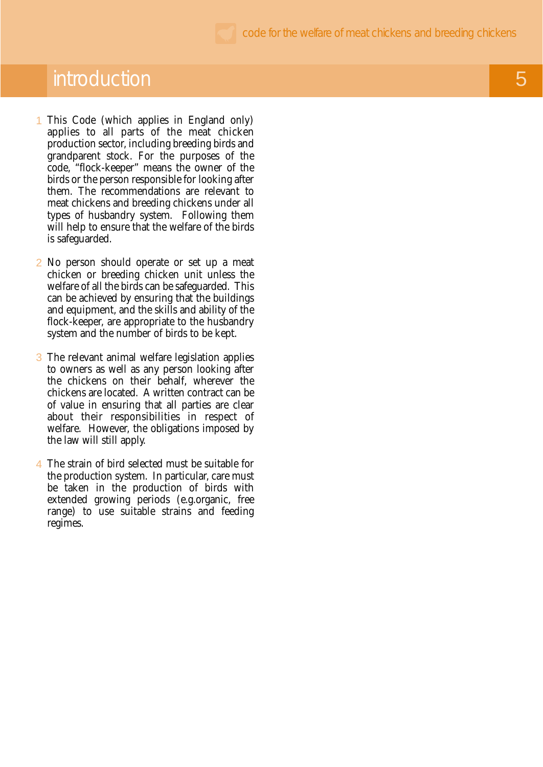# introduction

- This Code (which applies in England only) applies to all parts of the meat chicken production sector, including breeding birds and grandparent stock. For the purposes of the code, "flock-keeper" means the owner of the birds or the person responsible for looking after them. The recommendations are relevant to meat chickens and breeding chickens under all types of husbandry system. Following them will help to ensure that the welfare of the birds is safeguarded. 1
- 2 No person should operate or set up a meat chicken or breeding chicken unit unless the welfare of all the birds can be safeguarded. This can be achieved by ensuring that the buildings and equipment, and the skills and ability of the flock-keeper, are appropriate to the husbandry system and the number of birds to be kept.
- 3 The relevant animal welfare legislation applies to owners as well as any person looking after the chickens on their behalf, wherever the chickens are located. A written contract can be of value in ensuring that all parties are clear about their responsibilities in respect of welfare. However, the obligations imposed by the law will still apply.
- The strain of bird selected must be suitable for 4 the production system. In particular, care must be taken in the production of birds with extended growing periods (e.g.organic, free range) to use suitable strains and feeding regimes.

5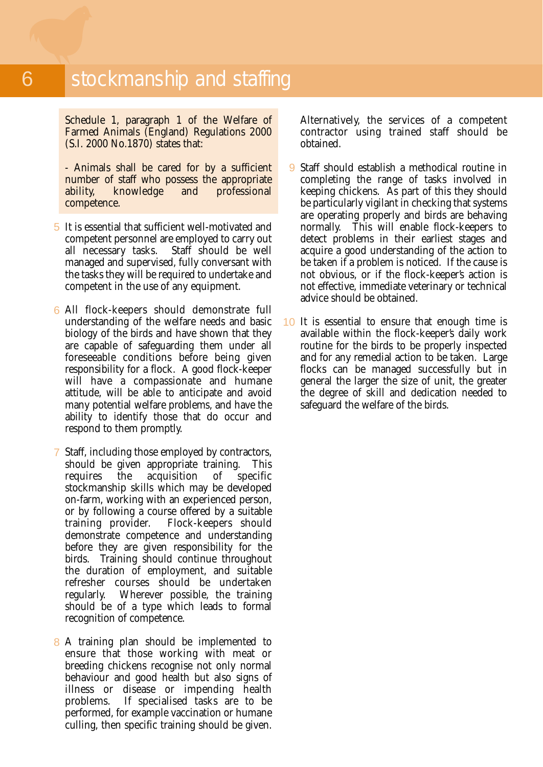Schedule 1, paragraph 1 of the Welfare of Farmed Animals (England) Regulations 2000 (S.I. 2000 No.1870) states that:

- Animals shall be cared for by a sufficient number of staff who possess the appropriate ability, knowledge and professional competence.

- 5 It is essential that sufficient well-motivated and competent personnel are employed to carry out all necessary tasks. Staff should be well managed and supervised, fully conversant with the tasks they will be required to undertake and competent in the use of any equipment.
- 6 All flock-keepers should demonstrate full understanding of the welfare needs and basic biology of the birds and have shown that they are capable of safeguarding them under all foreseeable conditions before being given responsibility for a flock. A good flock-keeper will have a compassionate and humane attitude, will be able to anticipate and avoid many potential welfare problems, and have the ability to identify those that do occur and respond to them promptly.
- Staff, including those employed by contractors, 7 should be given appropriate training. This requires the acquisition of specific stockmanship skills which may be developed on-farm, working with an experienced person, or by following a course offered by a suitable<br>training provider. Flock-keepers should Flock-keepers should demonstrate competence and understanding before they are given responsibility for the birds. Training should continue throughout the duration of employment, and suitable refresher courses should be undertaken<br>regularly. Wherever possible, the training Wherever possible, the training should be of a type which leads to formal recognition of competence.
- 8 A training plan should be implemented to ensure that those working with meat or breeding chickens recognise not only normal behaviour and good health but also signs of illness or disease or impending health problems. If specialised tasks are to be performed, for example vaccination or humane culling, then specific training should be given.

Alternatively, the services of a competent contractor using trained staff should be obtained.

- 9 Staff should establish a methodical routine in completing the range of tasks involved in keeping chickens. As part of this they should be particularly vigilant in checking that systems are operating properly and birds are behaving normally. This will enable flock-keepers to detect problems in their earliest stages and acquire a good understanding of the action to be taken if a problem is noticed. If the cause is not obvious, or if the flock-keeper's action is not effective, immediate veterinary or technical advice should be obtained.
- 10 It is essential to ensure that enough time is available within the flock-keeper's daily work routine for the birds to be properly inspected and for any remedial action to be taken. Large flocks can be managed successfully but in general the larger the size of unit, the greater the degree of skill and dedication needed to safeguard the welfare of the birds.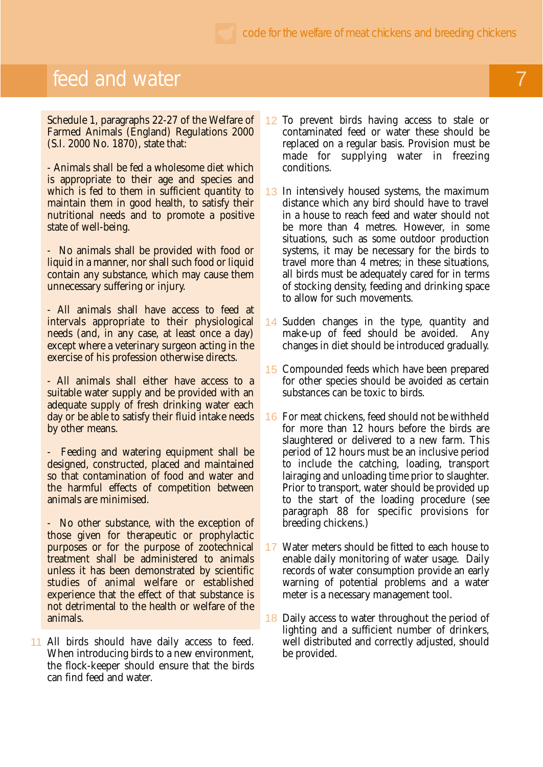# feed and water

Schedule 1, paragraphs 22-27 of the Welfare of Farmed Animals (England) Regulations 2000 (S.I. 2000 No. 1870), state that:

- Animals shall be fed a wholesome diet which is appropriate to their age and species and which is fed to them in sufficient quantity to maintain them in good health, to satisfy their nutritional needs and to promote a positive state of well-being.

- No animals shall be provided with food or liquid in a manner, nor shall such food or liquid contain any substance, which may cause them unnecessary suffering or injury.

- All animals shall have access to feed at intervals appropriate to their physiological needs (and, in any case, at least once a day) except where a veterinary surgeon acting in the exercise of his profession otherwise directs.

- All animals shall either have access to a suitable water supply and be provided with an adequate supply of fresh drinking water each day or be able to satisfy their fluid intake needs by other means.

- Feeding and watering equipment shall be designed, constructed, placed and maintained so that contamination of food and water and the harmful effects of competition between animals are minimised.

- No other substance, with the exception of those given for therapeutic or prophylactic purposes or for the purpose of zootechnical treatment shall be administered to animals unless it has been demonstrated by scientific studies of animal welfare or established experience that the effect of that substance is not detrimental to the health or welfare of the animals.

11 All birds should have daily access to feed. When introducing birds to a new environment, the flock-keeper should ensure that the birds can find feed and water.

- To prevent birds having access to stale or contaminated feed or water these should be replaced on a regular basis. Provision must be made for supplying water in freezing conditions. 12
- 13 In intensively housed systems, the maximum distance which any bird should have to travel in a house to reach feed and water should not be more than 4 metres. However, in some situations, such as some outdoor production systems, it may be necessary for the birds to travel more than 4 metres; in these situations, all birds must be adequately cared for in terms of stocking density, feeding and drinking space to allow for such movements.
- 14 Sudden changes in the type, quantity and make-up of feed should be avoided. Any changes in diet should be introduced gradually.
- 15 Compounded feeds which have been prepared for other species should be avoided as certain substances can be toxic to birds.
- 16 For meat chickens, feed should not be withheld for more than 12 hours before the birds are slaughtered or delivered to a new farm. This period of 12 hours must be an inclusive period to include the catching, loading, transport lairaging and unloading time prior to slaughter. Prior to transport, water should be provided up to the start of the loading procedure (see paragraph 88 for specific provisions for breeding chickens.)
- Water meters should be fitted to each house to 17 enable daily monitoring of water usage. Daily records of water consumption provide an early warning of potential problems and a water meter is a necessary management tool.
- 18 Daily access to water throughout the period of lighting and a sufficient number of drinkers, well distributed and correctly adjusted, should be provided.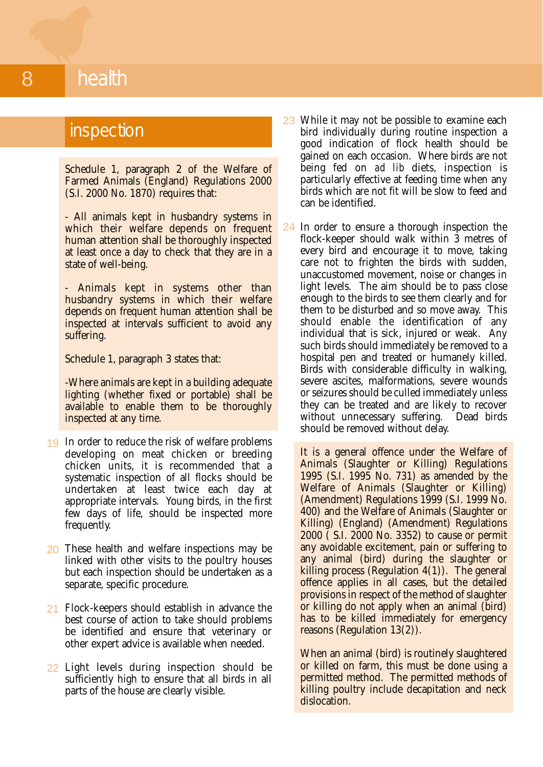# 8 health

# inspection

Schedule 1, paragraph 2 of the Welfare of Farmed Animals (England) Regulations 2000 (S.I. 2000 No. 1870) requires that:

- All animals kept in husbandry systems in which their welfare depends on frequent human attention shall be thoroughly inspected at least once a day to check that they are in a state of well-being.

- Animals kept in systems other than husbandry systems in which their welfare depends on frequent human attention shall be inspected at intervals sufficient to avoid any suffering.

Schedule 1, paragraph 3 states that:

-Where animals are kept in a building adequate lighting (whether fixed or portable) shall be available to enable them to be thoroughly inspected at any time.

- 19 In order to reduce the risk of welfare problems developing on meat chicken or breeding chicken units, it is recommended that a systematic inspection of all flocks should be undertaken at least twice each day at appropriate intervals. Young birds, in the first few days of life, should be inspected more frequently.
- 20 These health and welfare inspections may be linked with other visits to the poultry houses but each inspection should be undertaken as a separate, specific procedure.
- 21 Flock-keepers should establish in advance the best course of action to take should problems be identified and ensure that veterinary or other expert advice is available when needed.
- 22 Light levels during inspection should be sufficiently high to ensure that all birds in all parts of the house are clearly visible.
- 23 While it may not be possible to examine each bird individually during routine inspection a good indication of flock health should be gained on each occasion. Where birds are not being fed on *ad lib* diets, inspection is particularly effective at feeding time when any birds which are not fit will be slow to feed and can be identified.
- 24 In order to ensure a thorough inspection the flock-keeper should walk within 3 metres of every bird and encourage it to move, taking care not to frighten the birds with sudden, unaccustomed movement, noise or changes in light levels. The aim should be to pass close enough to the birds to see them clearly and for them to be disturbed and so move away. This should enable the identification of any individual that is sick, injured or weak. Any such birds should immediately be removed to a hospital pen and treated or humanely killed. Birds with considerable difficulty in walking, severe ascites, malformations, severe wounds or seizures should be culled immediately unless they can be treated and are likely to recover without unnecessary suffering. Dead birds should be removed without delay.

It is a general offence under the Welfare of Animals (Slaughter or Killing) Regulations 1995 (S.I. 1995 No. 731) as amended by the Welfare of Animals (Slaughter or Killing) (Amendment) Regulations 1999 (S.I. 1999 No. 400) and the Welfare of Animals (Slaughter or Killing) (England) (Amendment) Regulations 2000 ( S.I. 2000 No. 3352) to cause or permit any avoidable excitement, pain or suffering to any animal (bird) during the slaughter or killing process (Regulation 4(1)). The general offence applies in all cases, but the detailed provisions in respect of the method of slaughter or killing do not apply when an animal (bird) has to be killed immediately for emergency reasons (Regulation 13(2)).

When an animal (bird) is routinely slaughtered or killed on farm, this must be done using a permitted method. The permitted methods of killing poultry include decapitation and neck dislocation.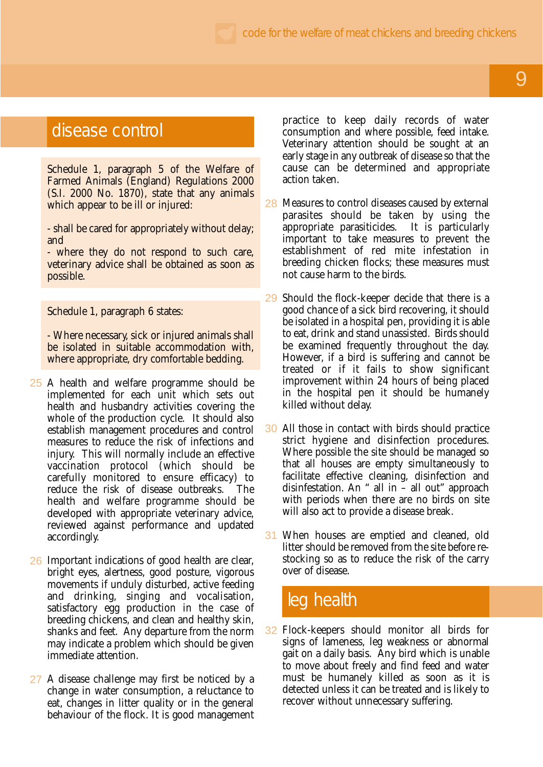Schedule 1, paragraph 5 of the Welfare of Farmed Animals (England) Regulations 2000 (S.I. 2000 No. 1870), state that any animals which appear to be ill or injured:

- shall be cared for appropriately without delay; and

- where they do not respond to such care, veterinary advice shall be obtained as soon as possible.

Schedule 1, paragraph 6 states:

- Where necessary, sick or injured animals shall be isolated in suitable accommodation with, where appropriate, dry comfortable bedding.

- 25 A health and welfare programme should be implemented for each unit which sets out health and husbandry activities covering the whole of the production cycle. It should also establish management procedures and control measures to reduce the risk of infections and injury. This will normally include an effective vaccination protocol (which should be carefully monitored to ensure efficacy) to reduce the risk of disease outbreaks. The health and welfare programme should be developed with appropriate veterinary advice, reviewed against performance and updated accordingly.
- 26 Important indications of good health are clear, bright eyes, alertness, good posture, vigorous movements if unduly disturbed, active feeding and drinking, singing and vocalisation, satisfactory egg production in the case of breeding chickens, and clean and healthy skin, shanks and feet. Any departure from the norm may indicate a problem which should be given immediate attention.
- 27 A disease challenge may first be noticed by a change in water consumption, a reluctance to eat, changes in litter quality or in the general behaviour of the flock. It is good management

**disease control** practice to keep daily records of water<br>consumption and where possible, feed intake. Veterinary attention should be sought at an early stage in any outbreak of disease so that the cause can be determined and appropriate action taken.

- 28 Measures to control diseases caused by external parasites should be taken by using the appropriate parasiticides. It is particularly important to take measures to prevent the establishment of red mite infestation in breeding chicken flocks; these measures must not cause harm to the birds.
- 29 Should the flock-keeper decide that there is a good chance of a sick bird recovering, it should be isolated in a hospital pen, providing it is able to eat, drink and stand unassisted. Birds should be examined frequently throughout the day. However, if a bird is suffering and cannot be treated or if it fails to show significant improvement within 24 hours of being placed in the hospital pen it should be humanely killed without delay.
- 30 All those in contact with birds should practice strict hygiene and disinfection procedures. Where possible the site should be managed so that all houses are empty simultaneously to facilitate effective cleaning, disinfection and disinfestation. An " all in – all out" approach with periods when there are no birds on site will also act to provide a disease break.
- When houses are emptied and cleaned, old 31 litter should be removed from the site before restocking so as to reduce the risk of the carry over of disease.

## leg health

32 Flock-keepers should monitor all birds for signs of lameness, leg weakness or abnormal gait on a daily basis. Any bird which is unable to move about freely and find feed and water must be humanely killed as soon as it is detected unless it can be treated and is likely to recover without unnecessary suffering.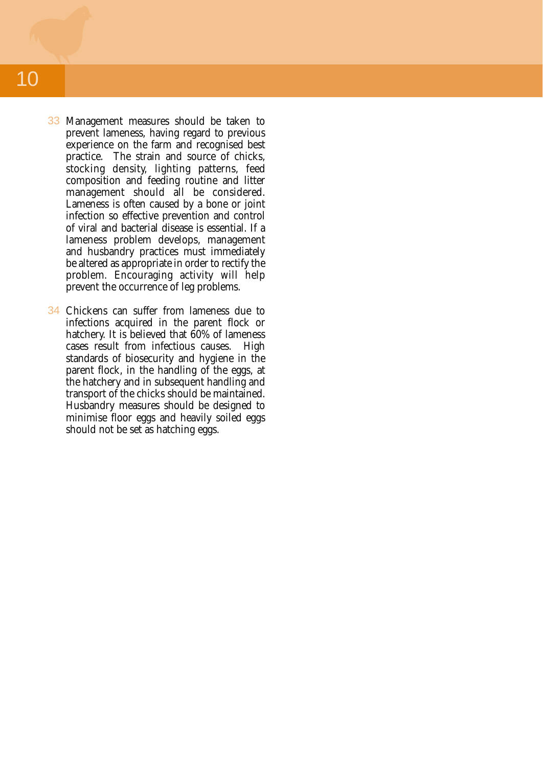- 33 Management measures should be taken to prevent lameness, having regard to previous experience on the farm and recognised best practice. The strain and source of chicks, stocking density, lighting patterns, feed composition and feeding routine and litter management should all be considered. Lameness is often caused by a bone or joint infection so effective prevention and control of viral and bacterial disease is essential. If a lameness problem develops, management and husbandry practices must immediately be altered as appropriate in order to rectify the problem. Encouraging activity will help prevent the occurrence of leg problems.
- 34 Chickens can suffer from lameness due to infections acquired in the parent flock or hatchery. It is believed that 60% of lameness cases result from infectious causes. High standards of biosecurity and hygiene in the parent flock, in the handling of the eggs, at the hatchery and in subsequent handling and transport of the chicks should be maintained. Husbandry measures should be designed to minimise floor eggs and heavily soiled eggs should not be set as hatching eggs.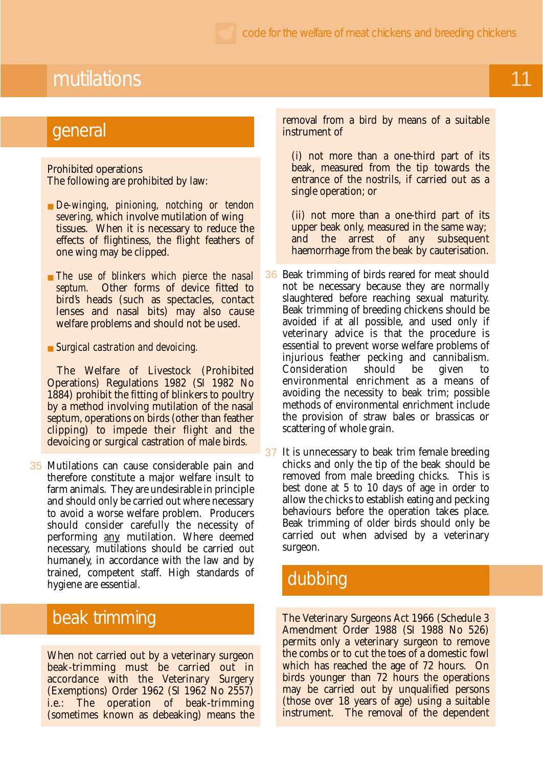# mutilations and the contract of the contract of the contract of the contract of the contract of the contract of the contract of the contract of the contract of the contract of the contract of the contract of the contract o

#### general

#### Prohibited operations

The following are prohibited by law:

- *De-winging, pinioning, notching or tendon severing,* which involve mutilation of wing tissues. When it is necessary to reduce the effects of flightiness, the flight feathers of one wing may be clipped.
- *The use of blinkers which pierce the nasal septum.* Other forms of device fitted to bird's heads (such as spectacles, contact lenses and nasal bits) may also cause welfare problems and should not be used.
- *Surgical castration and devoicing.*

The Welfare of Livestock (Prohibited Operations) Regulations 1982 (SI 1982 No 1884) prohibit the fitting of blinkers to poultry by a method involving mutilation of the nasal septum, operations on birds (other than feather clipping) to impede their flight and the devoicing or surgical castration of male birds.

35 Mutilations can cause considerable pain and therefore constitute a major welfare insult to farm animals. They are undesirable in principle and should only be carried out where necessary to avoid a worse welfare problem. Producers should consider carefully the necessity of performing any mutilation. Where deemed necessary, mutilations should be carried out humanely, in accordance with the law and by trained, competent staff. High standards of hygiene are essential.

# beak trimming

When not carried out by a veterinary surgeon beak-trimming must be carried out in accordance with the Veterinary Surgery (Exemptions) Order 1962 (SI 1962 No 2557) i.e.: The operation of beak-trimming (sometimes known as debeaking) means the

removal from a bird by means of a suitable instrument of

(i) not more than a one-third part of its beak, measured from the tip towards the entrance of the nostrils, if carried out as a single operation; or

(ii) not more than a one-third part of its upper beak only, measured in the same way; and the arrest of any subsequent haemorrhage from the beak by cauterisation.

- Beak trimming of birds reared for meat should not be necessary because they are normally slaughtered before reaching sexual maturity. Beak trimming of breeding chickens should be avoided if at all possible, and used only if veterinary advice is that the procedure is essential to prevent worse welfare problems of injurious feather pecking and cannibalism. Consideration should be given to environmental enrichment as a means of avoiding the necessity to beak trim; possible methods of environmental enrichment include the provision of straw bales or brassicas or scattering of whole grain. 36
- It is unnecessary to beak trim female breeding chicks and only the tip of the beak should be removed from male breeding chicks. This is best done at 5 to 10 days of age in order to allow the chicks to establish eating and pecking behaviours before the operation takes place. Beak trimming of older birds should only be carried out when advised by a veterinary surgeon. 37

## dubbing

The Veterinary Surgeons Act 1966 (Schedule 3 Amendment Order 1988 (SI 1988 No 526) permits only a veterinary surgeon to remove the combs or to cut the toes of a domestic fowl which has reached the age of 72 hours. On birds younger than 72 hours the operations may be carried out by unqualified persons (those over 18 years of age) using a suitable instrument. The removal of the dependent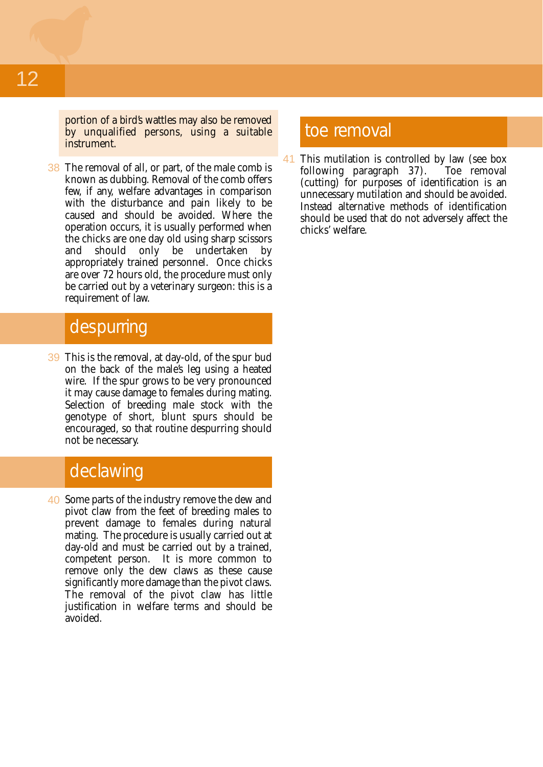portion of a bird's wattles may also be removed by unqualified persons, using a suitable instrument.

38 The removal of all, or part, of the male comb is known as dubbing. Removal of the comb offers few, if any, welfare advantages in comparison with the disturbance and pain likely to be caused and should be avoided. Where the operation occurs, it is usually performed when the chicks are one day old using sharp scissors<br>and should only be undertaken by undertaken appropriately trained personnel. Once chicks are over 72 hours old, the procedure must only be carried out by a veterinary surgeon: this is a requirement of law.

# despurring

39 This is the removal, at day-old, of the spur bud on the back of the male's leg using a heated wire. If the spur grows to be very pronounced it may cause damage to females during mating. Selection of breeding male stock with the genotype of short, blunt spurs should be encouraged, so that routine despurring should not be necessary.

# declawing

40 Some parts of the industry remove the dew and pivot claw from the feet of breeding males to prevent damage to females during natural mating. The procedure is usually carried out at day-old and must be carried out by a trained, competent person. It is more common to remove only the dew claws as these cause significantly more damage than the pivot claws. The removal of the pivot claw has little justification in welfare terms and should be avoided.

#### toe removal

41 This mutilation is controlled by law (see box following paragraph 37). Toe removal (cutting) for purposes of identification is an unnecessary mutilation and should be avoided. Instead alternative methods of identification should be used that do not adversely affect the chicks' welfare.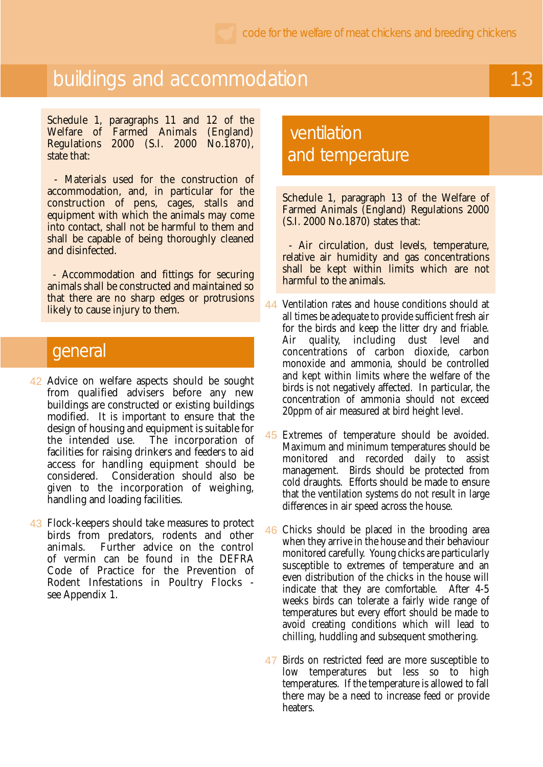# buildings and accommodation 13

Schedule 1, paragraphs 11 and 12 of the Welfare of Farmed Animals (England) Regulations 2000 (S.I. 2000 No.1870), state that:

- Materials used for the construction of accommodation, and, in particular for the construction of pens, cages, stalls and equipment with which the animals may come into contact, shall not be harmful to them and shall be capable of being thoroughly cleaned and disinfected.

- Accommodation and fittings for securing animals shall be constructed and maintained so that there are no sharp edges or protrusions likely to cause injury to them.

## general

- 42 Advice on welfare aspects should be sought from qualified advisers before any new buildings are constructed or existing buildings modified. It is important to ensure that the design of housing and equipment is suitable for<br>the intended use. The incorporation of The incorporation of facilities for raising drinkers and feeders to aid access for handling equipment should be considered. Consideration should also be given to the incorporation of weighing, handling and loading facilities.
- 43 Flock-keepers should take measures to protect birds from predators, rodents and other animals. Further advice on the control of vermin can be found in the DEFRA Code of Practice for the Prevention of Rodent Infestations in Poultry Flocks see Appendix 1.

# ventilation and temperature

Schedule 1, paragraph 13 of the Welfare of Farmed Animals (England) Regulations 2000 (S.I. 2000 No.1870) states that:

- Air circulation, dust levels, temperature, relative air humidity and gas concentrations shall be kept within limits which are not harmful to the animals.

Ventilation rates and house conditions should at all times be adequate to provide sufficient fresh air for the birds and keep the litter dry and friable. Air quality, including dust level and concentrations of carbon dioxide, carbon monoxide and ammonia, should be controlled and kept within limits where the welfare of the birds is not negatively affected. In particular, the concentration of ammonia should not exceed 20ppm of air measured at bird height level. 44

- 45 Extremes of temperature should be avoided. Maximum and minimum temperatures should be monitored and recorded daily to assist management. Birds should be protected from cold draughts. Efforts should be made to ensure that the ventilation systems do not result in large differences in air speed across the house.
- Chicks should be placed in the brooding area when they arrive in the house and their behaviour monitored carefully. Young chicks are particularly susceptible to extremes of temperature and an even distribution of the chicks in the house will indicate that they are comfortable. After 4-5 weeks birds can tolerate a fairly wide range of temperatures but every effort should be made to avoid creating conditions which will lead to chilling, huddling and subsequent smothering. 46
- 47 Birds on restricted feed are more susceptible to low temperatures but less so to high temperatures. If the temperature is allowed to fall there may be a need to increase feed or provide heaters.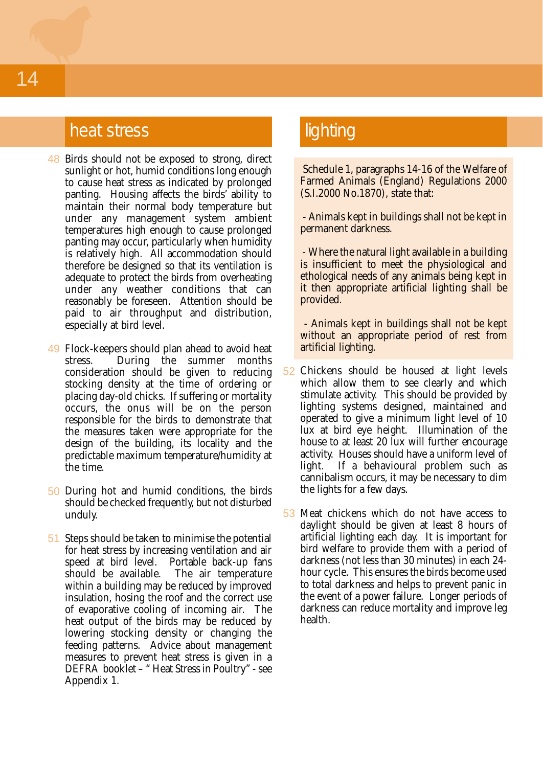## heat stress lighting

- 48 Birds should not be exposed to strong, direct sunlight or hot, humid conditions long enough to cause heat stress as indicated by prolonged panting. Housing affects the birds' ability to maintain their normal body temperature but under any management system ambient temperatures high enough to cause prolonged panting may occur, particularly when humidity is relatively high. All accommodation should therefore be designed so that its ventilation is adequate to protect the birds from overheating under any weather conditions that can reasonably be foreseen. Attention should be paid to air throughput and distribution, especially at bird level.
- Flock-keepers should plan ahead to avoid heat 49 stress. During the summer months consideration should be given to reducing stocking density at the time of ordering or placing day-old chicks. If suffering or mortality occurs, the onus will be on the person responsible for the birds to demonstrate that the measures taken were appropriate for the design of the building, its locality and the predictable maximum temperature/humidity at the time.
- 50 During hot and humid conditions, the birds should be checked frequently, but not disturbed unduly.
- 51 Steps should be taken to minimise the potential for heat stress by increasing ventilation and air speed at bird level. Portable back-up fans should be available. The air temperature within a building may be reduced by improved insulation, hosing the roof and the correct use of evaporative cooling of incoming air. The heat output of the birds may be reduced by lowering stocking density or changing the feeding patterns. Advice about management measures to prevent heat stress is given in a DEFRA booklet – " Heat Stress in Poultry" - see Appendix 1.

Schedule 1, paragraphs 14-16 of the Welfare of Farmed Animals (England) Regulations 2000 (S.I.2000 No.1870), state that:

- Animals kept in buildings shall not be kept in permanent darkness.

- Where the natural light available in a building is insufficient to meet the physiological and ethological needs of any animals being kept in it then appropriate artificial lighting shall be provided.

- Animals kept in buildings shall not be kept without an appropriate period of rest from artificial lighting.

- 52 Chickens should be housed at light levels which allow them to see clearly and which stimulate activity. This should be provided by lighting systems designed, maintained and operated to give a minimum light level of 10 lux at bird eye height. Illumination of the house to at least 20 lux will further encourage activity. Houses should have a uniform level of light. If a behavioural problem such as cannibalism occurs, it may be necessary to dim the lights for a few days.
- 53 Meat chickens which do not have access to daylight should be given at least 8 hours of artificial lighting each day. It is important for bird welfare to provide them with a period of darkness (not less than 30 minutes) in each 24 hour cycle. This ensures the birds become used to total darkness and helps to prevent panic in the event of a power failure. Longer periods of darkness can reduce mortality and improve leg health.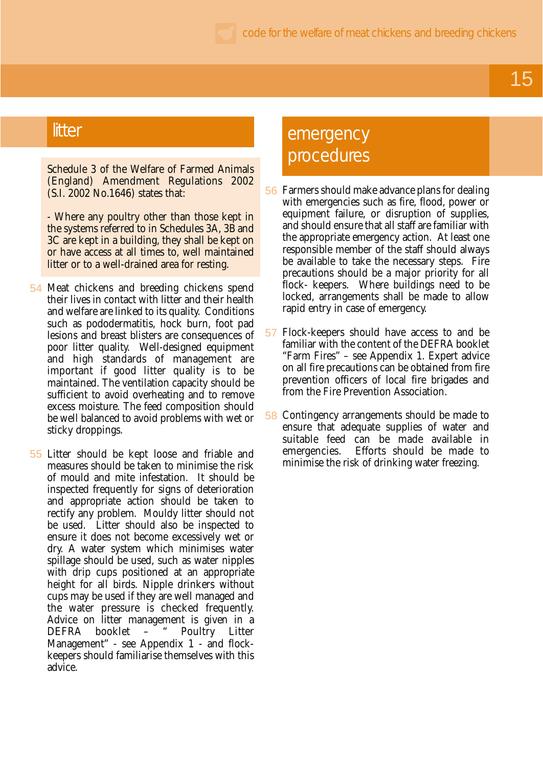# 15

Schedule 3 of the Welfare of Farmed Animals (England) Amendment Regulations 2002 (S.I. 2002 No.1646) states that:

- Where any poultry other than those kept in the systems referred to in Schedules 3A, 3B and 3C are kept in a building, they shall be kept on or have access at all times to, well maintained litter or to a well-drained area for resting.

- 54 Meat chickens and breeding chickens spend their lives in contact with litter and their health and welfare are linked to its quality. Conditions such as pododermatitis, hock burn, foot pad lesions and breast blisters are consequences of poor litter quality. Well-designed equipment and high standards of management are important if good litter quality is to be maintained. The ventilation capacity should be sufficient to avoid overheating and to remove excess moisture. The feed composition should be well balanced to avoid problems with wet or sticky droppings.
- 55 Litter should be kept loose and friable and measures should be taken to minimise the risk of mould and mite infestation. It should be inspected frequently for signs of deterioration and appropriate action should be taken to rectify any problem. Mouldy litter should not be used. Litter should also be inspected to ensure it does not become excessively wet or dry. A water system which minimises water spillage should be used, such as water nipples with drip cups positioned at an appropriate height for all birds. Nipple drinkers without cups may be used if they are well managed and the water pressure is checked frequently. Advice on litter management is given in a<br>DEFRA booklet - "Poultry Litter DEFRA booklet – " Poultry Litter Management" - see Appendix 1 - and flockkeepers should familiarise themselves with this advice.

# litter energies and the state of the emergency procedures

- 56 Farmers should make advance plans for dealing with emergencies such as fire, flood, power or equipment failure, or disruption of supplies, and should ensure that all staff are familiar with the appropriate emergency action. At least one responsible member of the staff should always be available to take the necessary steps. Fire precautions should be a major priority for all flock- keepers. Where buildings need to be locked, arrangements shall be made to allow rapid entry in case of emergency.
- Flock-keepers should have access to and be familiar with the content of the DEFRA booklet "Farm Fires" – see Appendix 1. Expert advice on all fire precautions can be obtained from fire prevention officers of local fire brigades and from the Fire Prevention Association. 57
- 58 Contingency arrangements should be made to ensure that adequate supplies of water and suitable feed can be made available in<br>emergencies. Efforts should be made to Efforts should be made to minimise the risk of drinking water freezing.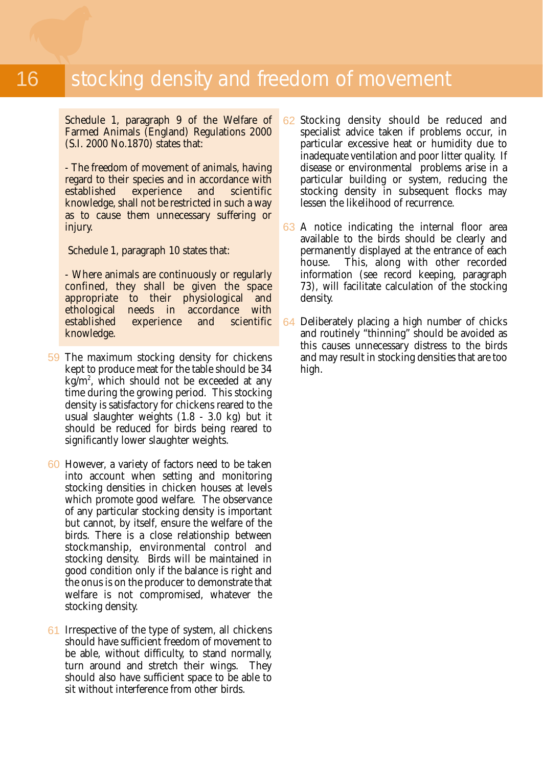# 16 Stocking density and freedom of movement

Schedule 1, paragraph 9 of the Welfare of Farmed Animals (England) Regulations 2000 (S.I. 2000 No.1870) states that:

- The freedom of movement of animals, having regard to their species and in accordance with established experience and scientific knowledge, shall not be restricted in such a way as to cause them unnecessary suffering or injury.

Schedule 1, paragraph 10 states that:

- Where animals are continuously or regularly confined, they shall be given the space appropriate to their physiological and<br>ethological needs in accordance with ethological needs in accordance with<br>established experience and scientific experience knowledge.

- 59 The maximum stocking density for chickens kept to produce meat for the table should be 34 kg/m<sup>2</sup>, which should not be exceeded at any time during the growing period. This stocking density is satisfactory for chickens reared to the usual slaughter weights (1.8 - 3.0 kg) but it should be reduced for birds being reared to significantly lower slaughter weights.
- 60 However, a variety of factors need to be taken into account when setting and monitoring stocking densities in chicken houses at levels which promote good welfare. The observance of any particular stocking density is important but cannot, by itself, ensure the welfare of the birds. There is a close relationship between stockmanship, environmental control and stocking density. Birds will be maintained in good condition only if the balance is right and the onus is on the producer to demonstrate that welfare is not compromised, whatever the stocking density.
- 61 Irrespective of the type of system, all chickens should have sufficient freedom of movement to be able, without difficulty, to stand normally, turn around and stretch their wings. They should also have sufficient space to be able to sit without interference from other birds.
- 62 Stocking density should be reduced and specialist advice taken if problems occur, in particular excessive heat or humidity due to inadequate ventilation and poor litter quality. If disease or environmental problems arise in a particular building or system, reducing the stocking density in subsequent flocks may lessen the likelihood of recurrence.
- 63 A notice indicating the internal floor area available to the birds should be clearly and permanently displayed at the entrance of each house. This, along with other recorded information (see record keeping, paragraph 73), will facilitate calculation of the stocking density.
- 64 Deliberately placing a high number of chicks and routinely "thinning" should be avoided as this causes unnecessary distress to the birds and may result in stocking densities that are too high.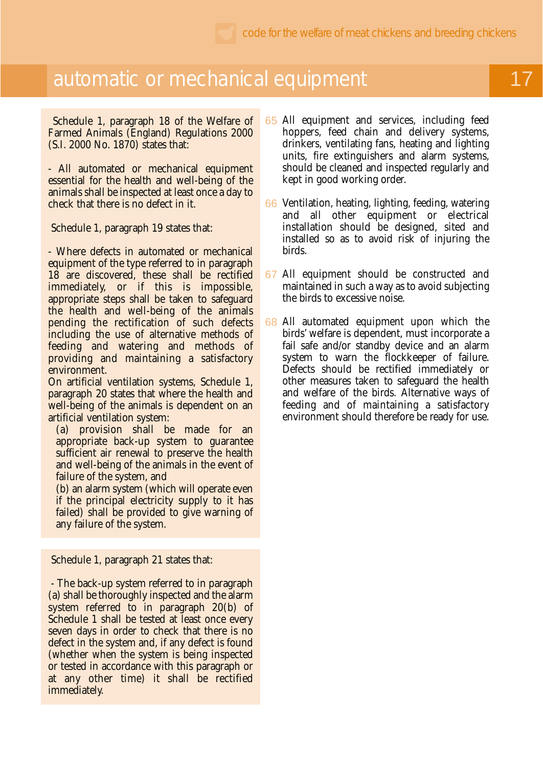# automatic or mechanical equipment

Schedule 1, paragraph 18 of the Welfare of Farmed Animals (England) Regulations 2000 (S.I. 2000 No. 1870) states that:

- All automated or mechanical equipment essential for the health and well-being of the animals shall be inspected at least once a day to check that there is no defect in it.

Schedule 1, paragraph 19 states that:

- Where defects in automated or mechanical equipment of the type referred to in paragraph 18 are discovered, these shall be rectified immediately, or if this is impossible, appropriate steps shall be taken to safeguard the health and well-being of the animals pending the rectification of such defects including the use of alternative methods of feeding and watering and methods of providing and maintaining a satisfactory environment.

On artificial ventilation systems, Schedule 1, paragraph 20 states that where the health and well-being of the animals is dependent on an artificial ventilation system:

(a) provision shall be made for an appropriate back-up system to guarantee sufficient air renewal to preserve the health and well-being of the animals in the event of failure of the system, and

(b) an alarm system (which will operate even if the principal electricity supply to it has failed) shall be provided to give warning of any failure of the system.

Schedule 1, paragraph 21 states that:

- The back-up system referred to in paragraph (a) shall be thoroughly inspected and the alarm system referred to in paragraph 20(b) of Schedule 1 shall be tested at least once every seven days in order to check that there is no defect in the system and, if any defect is found (whether when the system is being inspected or tested in accordance with this paragraph or at any other time) it shall be rectified immediately.

- 65 All equipment and services, including feed hoppers, feed chain and delivery systems, drinkers, ventilating fans, heating and lighting units, fire extinguishers and alarm systems, should be cleaned and inspected regularly and kept in good working order.
- 66 Ventilation, heating, lighting, feeding, watering and all other equipment or electrical installation should be designed, sited and installed so as to avoid risk of injuring the birds.
- 67 All equipment should be constructed and maintained in such a way as to avoid subjecting the birds to excessive noise.
- 68 All automated equipment upon which the birds' welfare is dependent, must incorporate a fail safe and/or standby device and an alarm system to warn the flockkeeper of failure. Defects should be rectified immediately or other measures taken to safeguard the health and welfare of the birds. Alternative ways of feeding and of maintaining a satisfactory environment should therefore be ready for use.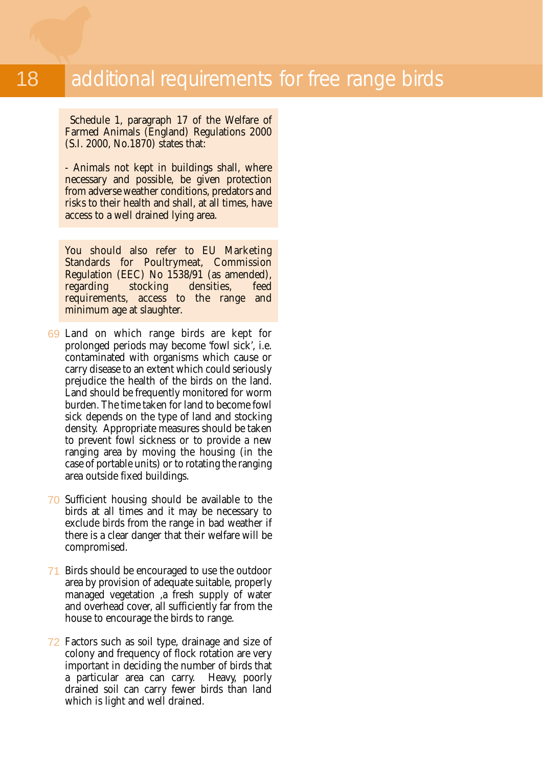Schedule 1, paragraph 17 of the Welfare of Farmed Animals (England) Regulations 2000 (S.I. 2000, No.1870) states that:

- Animals not kept in buildings shall, where necessary and possible, be given protection from adverse weather conditions, predators and risks to their health and shall, at all times, have access to a well drained lying area.

You should also refer to EU Marketing Standards for Poultrymeat, Commission Regulation (EEC) No 1538/91 (as amended), regarding stocking densities, feed requirements, access to the range and minimum age at slaughter.

- 69 Land on which range birds are kept for prolonged periods may become 'fowl sick', i.e. contaminated with organisms which cause or carry disease to an extent which could seriously prejudice the health of the birds on the land. Land should be frequently monitored for worm burden. The time taken for land to become fowl sick depends on the type of land and stocking density. Appropriate measures should be taken to prevent fowl sickness or to provide a new ranging area by moving the housing (in the case of portable units) or to rotating the ranging area outside fixed buildings.
- 70 Sufficient housing should be available to the birds at all times and it may be necessary to exclude birds from the range in bad weather if there is a clear danger that their welfare will be compromised.
- Birds should be encouraged to use the outdoor area by provision of adequate suitable, properly managed vegetation ,a fresh supply of water and overhead cover, all sufficiently far from the house to encourage the birds to range. 71
- 72 Factors such as soil type, drainage and size of colony and frequency of flock rotation are very important in deciding the number of birds that a particular area can carry. Heavy, poorly drained soil can carry fewer birds than land which is light and well drained.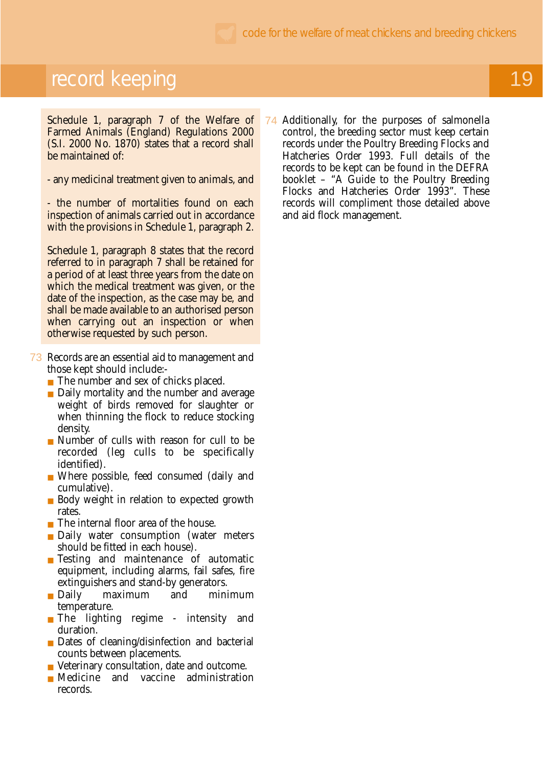# record keeping

Schedule 1, paragraph 7 of the Welfare of Farmed Animals (England) Regulations 2000 (S.I. 2000 No. 1870) states that a record shall be maintained of:

- any medicinal treatment given to animals, and

- the number of mortalities found on each inspection of animals carried out in accordance with the provisions in Schedule 1, paragraph 2.

Schedule 1, paragraph 8 states that the record referred to in paragraph 7 shall be retained for a period of at least three years from the date on which the medical treatment was given, or the date of the inspection, as the case may be, and shall be made available to an authorised person when carrying out an inspection or when otherwise requested by such person.

- 73 Records are an essential aid to management and those kept should include:-
	- The number and sex of chicks placed.
	- Daily mortality and the number and average weight of birds removed for slaughter or when thinning the flock to reduce stocking density.
	- Number of culls with reason for cull to be recorded (leg culls to be specifically identified).
	- Where possible, feed consumed (daily and cumulative).
	- Body weight in relation to expected growth rates.
	- The internal floor area of the house.
	- Daily water consumption (water meters should be fitted in each house).
	- Testing and maintenance of automatic equipment, including alarms, fail safes, fire extinguishers and stand-by generators.<br>
	• Daily maximum and minimum
	- maximum temperature.
	- The lighting regime intensity and duration.
	- Dates of cleaning/disinfection and bacterial counts between placements.
	- Veterinary consultation, date and outcome.
	- Medicine and vaccine administration records.

Additionally, for the purposes of salmonella control, the breeding sector must keep certain records under the Poultry Breeding Flocks and Hatcheries Order 1993. Full details of the records to be kept can be found in the DEFRA booklet – "A Guide to the Poultry Breeding Flocks and Hatcheries Order 1993". These records will compliment those detailed above and aid flock management. 74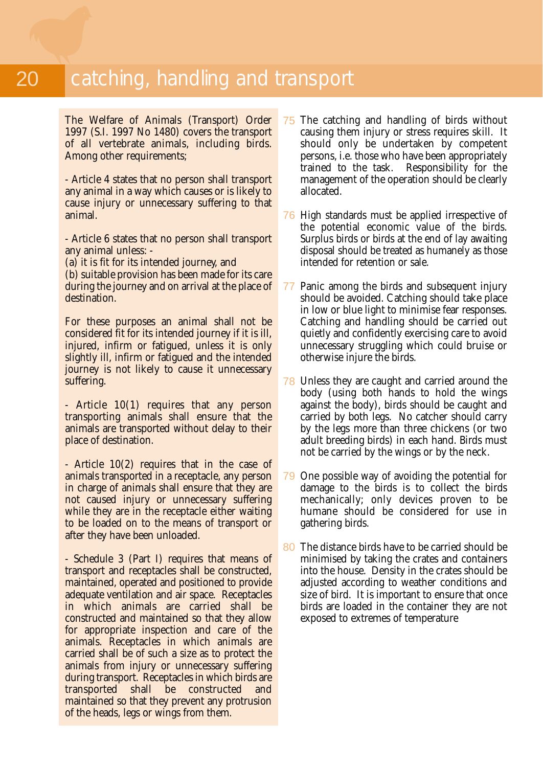# 20 catching, handling and transport

The Welfare of Animals (Transport) Order 1997 (S.I. 1997 No 1480) covers the transport of all vertebrate animals, including birds. Among other requirements;

- Article 4 states that no person shall transport any animal in a way which causes or is likely to cause injury or unnecessary suffering to that animal.

- Article 6 states that no person shall transport any animal unless: -

(a) it is fit for its intended journey, and

(b) suitable provision has been made for its care during the journey and on arrival at the place of destination.

For these purposes an animal shall not be considered fit for its intended journey if it is ill, injured, infirm or fatigued, unless it is only slightly ill, infirm or fatigued and the intended journey is not likely to cause it unnecessary suffering.

- Article 10(1) requires that any person transporting animals shall ensure that the animals are transported without delay to their place of destination.

- Article 10(2) requires that in the case of animals transported in a receptacle, any person in charge of animals shall ensure that they are not caused injury or unnecessary suffering while they are in the receptacle either waiting to be loaded on to the means of transport or after they have been unloaded.

- Schedule 3 (Part I) requires that means of transport and receptacles shall be constructed, maintained, operated and positioned to provide adequate ventilation and air space. Receptacles in which animals are carried shall be constructed and maintained so that they allow for appropriate inspection and care of the animals. Receptacles in which animals are carried shall be of such a size as to protect the animals from injury or unnecessary suffering during transport. Receptacles in which birds are transported shall be constructed and maintained so that they prevent any protrusion of the heads, legs or wings from them.

- 75 The catching and handling of birds without causing them injury or stress requires skill. It should only be undertaken by competent persons, i.e. those who have been appropriately trained to the task. Responsibility for the management of the operation should be clearly allocated.
- 76 High standards must be applied irrespective of the potential economic value of the birds. Surplus birds or birds at the end of lay awaiting disposal should be treated as humanely as those intended for retention or sale.
- 77 Panic among the birds and subsequent injury should be avoided. Catching should take place in low or blue light to minimise fear responses. Catching and handling should be carried out quietly and confidently exercising care to avoid unnecessary struggling which could bruise or otherwise injure the birds.
- 78 Unless they are caught and carried around the body (using both hands to hold the wings against the body), birds should be caught and carried by both legs. No catcher should carry by the legs more than three chickens (or two adult breeding birds) in each hand. Birds must not be carried by the wings or by the neck.
- 79 One possible way of avoiding the potential for damage to the birds is to collect the birds mechanically; only devices proven to be humane should be considered for use in gathering birds.
- 80 The distance birds have to be carried should be minimised by taking the crates and containers into the house. Density in the crates should be adjusted according to weather conditions and size of bird. It is important to ensure that once birds are loaded in the container they are not exposed to extremes of temperature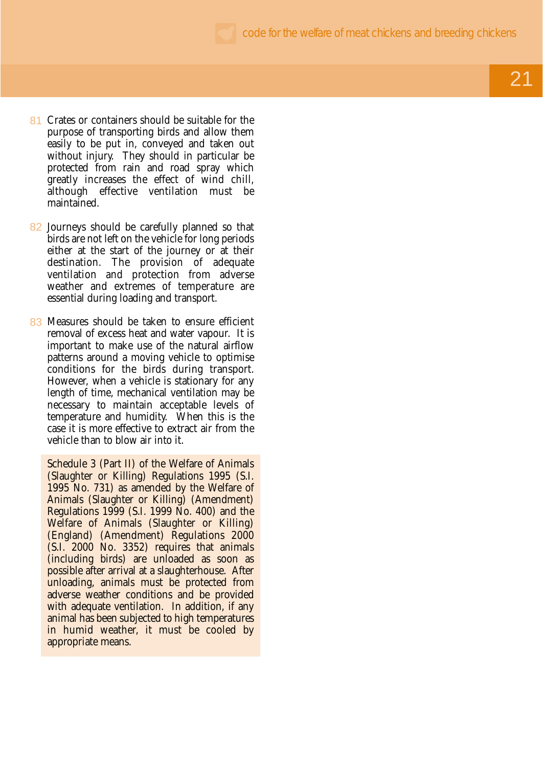- 81 Crates or containers should be suitable for the purpose of transporting birds and allow them easily to be put in, conveyed and taken out without injury. They should in particular be protected from rain and road spray which greatly increases the effect of wind chill, although effective ventilation must be maintained.
- 82 Journeys should be carefully planned so that birds are not left on the vehicle for long periods either at the start of the journey or at their destination. The provision of adequate ventilation and protection from adverse weather and extremes of temperature are essential during loading and transport.
- 83 Measures should be taken to ensure efficient removal of excess heat and water vapour. It is important to make use of the natural airflow patterns around a moving vehicle to optimise conditions for the birds during transport. However, when a vehicle is stationary for any length of time, mechanical ventilation may be necessary to maintain acceptable levels of temperature and humidity. When this is the case it is more effective to extract air from the vehicle than to blow air into it.

Schedule 3 (Part II) of the Welfare of Animals (Slaughter or Killing) Regulations 1995 (S.I. 1995 No. 731) as amended by the Welfare of Animals (Slaughter or Killing) (Amendment) Regulations 1999 (S.I. 1999 No. 400) and the Welfare of Animals (Slaughter or Killing) (England) (Amendment) Regulations 2000 (S.I. 2000 No. 3352) requires that animals (including birds) are unloaded as soon as possible after arrival at a slaughterhouse. After unloading, animals must be protected from adverse weather conditions and be provided with adequate ventilation. In addition, if any animal has been subjected to high temperatures in humid weather, it must be cooled by appropriate means.

21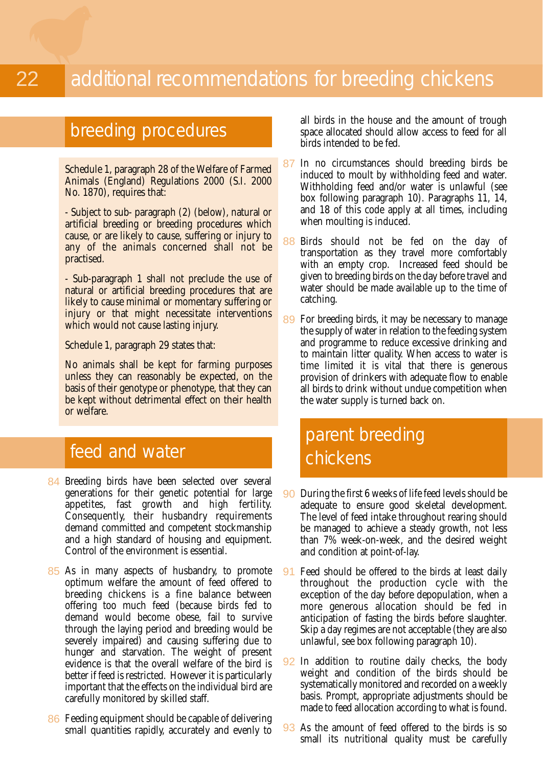# breeding procedures

Schedule 1, paragraph 28 of the Welfare of Farmed Animals (England) Regulations 2000 (S.I. 2000 No. 1870), requires that:

- Subject to sub- paragraph (2) (below), natural or artificial breeding or breeding procedures which cause, or are likely to cause, suffering or injury to any of the animals concerned shall not be practised.

- Sub-paragraph 1 shall not preclude the use of natural or artificial breeding procedures that are likely to cause minimal or momentary suffering or injury or that might necessitate interventions which would not cause lasting injury.

Schedule 1, paragraph 29 states that:

No animals shall be kept for farming purposes unless they can reasonably be expected, on the basis of their genotype or phenotype, that they can be kept without detrimental effect on their health or welfare.

# feed and water

- 84 Breeding birds have been selected over several generations for their genetic potential for large appetites, fast growth and high fertility. Consequently, their husbandry requirements demand committed and competent stockmanship and a high standard of housing and equipment. Control of the environment is essential.
- 85 As in many aspects of husbandry, to promote optimum welfare the amount of feed offered to breeding chickens is a fine balance between offering too much feed (because birds fed to demand would become obese, fail to survive through the laying period and breeding would be severely impaired) and causing suffering due to hunger and starvation. The weight of present evidence is that the overall welfare of the bird is better if feed is restricted. However it is particularly important that the effects on the individual bird are carefully monitored by skilled staff.
- 86 Feeding equipment should be capable of delivering small quantities rapidly, accurately and evenly to

all birds in the house and the amount of trough space allocated should allow access to feed for all birds intended to be fed.

In no circumstances should breeding birds be induced to moult by withholding feed and water. Withholding feed and/or water is unlawful (see box following paragraph 10). Paragraphs 11, 14, and 18 of this code apply at all times, including when moulting is induced. 87

- 88 Birds should not be fed on the day of transportation as they travel more comfortably with an empty crop. Increased feed should be given to breeding birds on the day before travel and water should be made available up to the time of catching.
- 89 For breeding birds, it may be necessary to manage the supply of water in relation to the feeding system and programme to reduce excessive drinking and to maintain litter quality. When access to water is time limited it is vital that there is generous provision of drinkers with adequate flow to enable all birds to drink without undue competition when the water supply is turned back on.

# parent breeding chickens

- 90 During the first 6 weeks of life feed levels should be adequate to ensure good skeletal development. The level of feed intake throughout rearing should be managed to achieve a steady growth, not less than 7% week-on-week, and the desired weight and condition at point-of-lay.
- Feed should be offered to the birds at least daily throughout the production cycle with the exception of the day before depopulation, when a more generous allocation should be fed in anticipation of fasting the birds before slaughter. Skip a day regimes are not acceptable (they are also unlawful, see box following paragraph 10). 91
- 92 In addition to routine daily checks, the body weight and condition of the birds should be systematically monitored and recorded on a weekly basis. Prompt, appropriate adjustments should be made to feed allocation according to what is found.
- 93 As the amount of feed offered to the birds is so small its nutritional quality must be carefully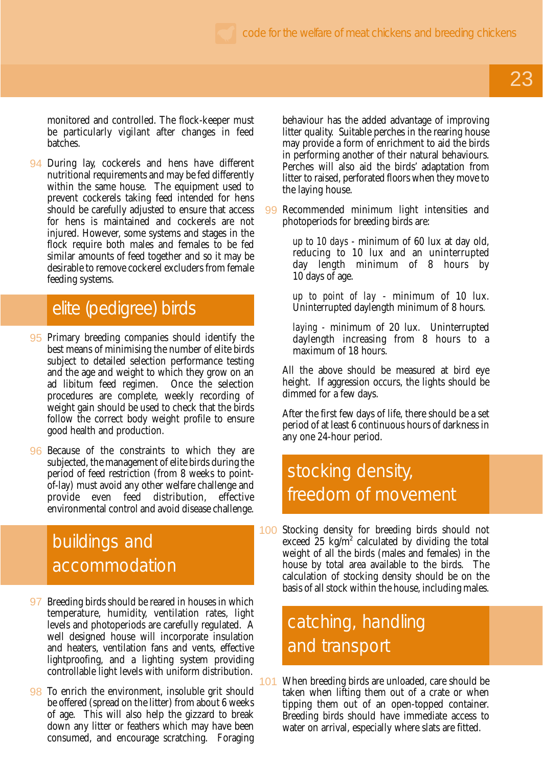monitored and controlled. The flock-keeper must be particularly vigilant after changes in feed batches.

94 During lay, cockerels and hens have different nutritional requirements and may be fed differently within the same house. The equipment used to prevent cockerels taking feed intended for hens should be carefully adjusted to ensure that access for hens is maintained and cockerels are not injured. However, some systems and stages in the flock require both males and females to be fed similar amounts of feed together and so it may be desirable to remove cockerel excluders from female feeding systems.

# elite (pedigree) birds

- 95 Primary breeding companies should identify the best means of minimising the number of elite birds subject to detailed selection performance testing and the age and weight to which they grow on an ad libitum feed regimen. Once the selection procedures are complete, weekly recording of weight gain should be used to check that the birds follow the correct body weight profile to ensure good health and production.
- 96 Because of the constraints to which they are subjected, the management of elite birds during the period of feed restriction (from 8 weeks to pointof-lay) must avoid any other welfare challenge and provide even feed distribution, effective environmental control and avoid disease challenge.

# buildings and accommodation

- 97 Breeding birds should be reared in houses in which temperature, humidity, ventilation rates, light levels and photoperiods are carefully regulated. A well designed house will incorporate insulation and heaters, ventilation fans and vents, effective lightproofing, and a lighting system providing controllable light levels with uniform distribution.
- 98 To enrich the environment, insoluble grit should be offered (spread on the litter) from about 6 weeks of age. This will also help the gizzard to break down any litter or feathers which may have been consumed, and encourage scratching. Foraging

behaviour has the added advantage of improving litter quality. Suitable perches in the rearing house may provide a form of enrichment to aid the birds in performing another of their natural behaviours. Perches will also aid the birds' adaptation from litter to raised, perforated floors when they move to the laying house.

99 Recommended minimum light intensities and photoperiods for breeding birds are:

> *up to 10 days* - minimum of 60 lux at day old, reducing to 10 lux and an uninterrupted day length minimum of 8 hours by 10 days of age.

> *up to point of lay* - minimum of 10 lux. Uninterrupted daylength minimum of 8 hours.

> *laying -* minimum of 20 lux. Uninterrupted daylength increasing from 8 hours to a maximum of 18 hours.

All the above should be measured at bird eye height. If aggression occurs, the lights should be dimmed for a few days.

After the first few days of life, there should be a set period of at least 6 continuous hours of darkness in any one 24-hour period.

# stocking density, freedom of movement

100 Stocking density for breeding birds should not exceed  $25 \text{ kg/m}^2$  calculated by dividing the total weight of all the birds (males and females) in the house by total area available to the birds. The calculation of stocking density should be on the basis of all stock within the house, including males.

# catching, handling and transport

101 When breeding birds are unloaded, care should be taken when lifting them out of a crate or when tipping them out of an open-topped container. Breeding birds should have immediate access to water on arrival, especially where slats are fitted.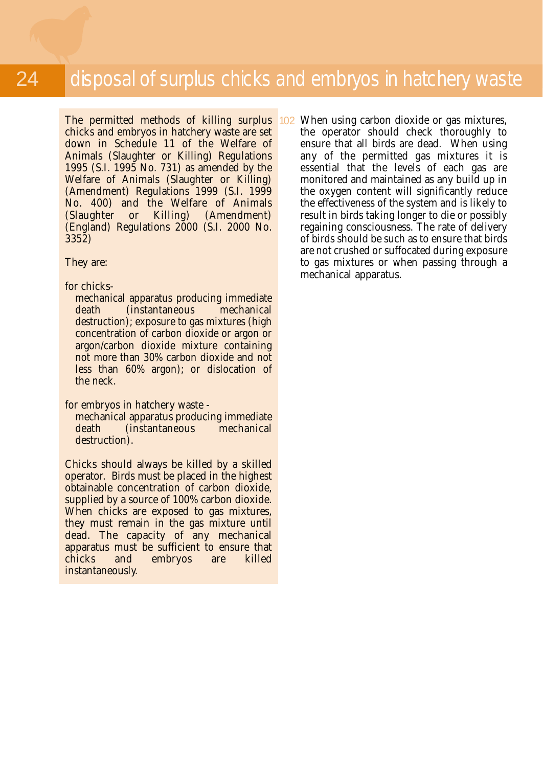The permitted methods of killing surplus chicks and embryos in hatchery waste are set down in Schedule 11 of the Welfare of Animals (Slaughter or Killing) Regulations 1995 (S.I. 1995 No. 731) as amended by the Welfare of Animals (Slaughter or Killing) (Amendment) Regulations 1999 (S.I. 1999 No. 400) and the Welfare of Animals<br>(Slaughter or Killing) (Amendment) or Killing) (Amendment) (England) Regulations 2000 (S.I. 2000 No. 3352)

They are:

for chicks-

mechanical apparatus producing immediate death (instantaneous mechanical destruction); exposure to gas mixtures (high concentration of carbon dioxide or argon or argon/carbon dioxide mixture containing not more than 30% carbon dioxide and not less than 60% argon); or dislocation of the neck.

for embryos in hatchery waste -

mechanical apparatus producing immediate<br>death (instantaneous mechanical  $(instantaneous)$ destruction).

Chicks should always be killed by a skilled operator. Birds must be placed in the highest obtainable concentration of carbon dioxide, supplied by a source of 100% carbon dioxide. When chicks are exposed to gas mixtures, they must remain in the gas mixture until dead. The capacity of any mechanical apparatus must be sufficient to ensure that<br>chicks and embryos are killed embryos are instantaneously.

When using carbon dioxide or gas mixtures, 102the operator should check thoroughly to ensure that all birds are dead. When using any of the permitted gas mixtures it is essential that the levels of each gas are monitored and maintained as any build up in the oxygen content will significantly reduce the effectiveness of the system and is likely to result in birds taking longer to die or possibly regaining consciousness. The rate of delivery of birds should be such as to ensure that birds are not crushed or suffocated during exposure to gas mixtures or when passing through a mechanical apparatus.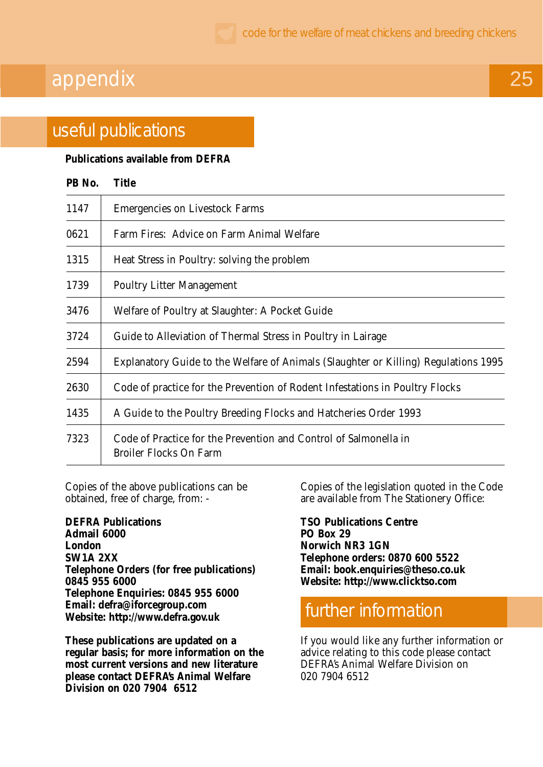# appendix

# useful publications

#### **Publications available from DEFRA**

| PB No. | <b>Title</b>                                                                                      |  |
|--------|---------------------------------------------------------------------------------------------------|--|
| 1147   | <b>Emergencies on Livestock Farms</b>                                                             |  |
| 0621   | Farm Fires: Advice on Farm Animal Welfare                                                         |  |
| 1315   | Heat Stress in Poultry: solving the problem                                                       |  |
| 1739   | <b>Poultry Litter Management</b>                                                                  |  |
| 3476   | Welfare of Poultry at Slaughter: A Pocket Guide                                                   |  |
| 3724   | Guide to Alleviation of Thermal Stress in Poultry in Lairage                                      |  |
| 2594   | Explanatory Guide to the Welfare of Animals (Slaughter or Killing) Regulations 1995               |  |
| 2630   | Code of practice for the Prevention of Rodent Infestations in Poultry Flocks                      |  |
| 1435   | A Guide to the Poultry Breeding Flocks and Hatcheries Order 1993                                  |  |
| 7323   | Code of Practice for the Prevention and Control of Salmonella in<br><b>Broiler Flocks On Farm</b> |  |

Copies of the above publications can be obtained, free of charge, from: -

**DEFRA Publications Admail 6000 London SW1A 2XX Telephone Orders (for free publications) 0845 955 6000 Telephone Enquiries: 0845 955 6000 Email: defra@iforcegroup.com Website: http://www.defra.gov.uk**

**These publications are updated on a regular basis; for more information on the most current versions and new literature please contact DEFRA's Animal Welfare Division on 020 7904 6512**

Copies of the legislation quoted in the Code are available from The Stationery Office:

**TSO Publications Centre PO Box 29 Norwich NR3 1GN Telephone orders: 0870 600 5522 Email: book.enquiries@theso.co.uk Website: http://www.clicktso.com**

## further information

If you would like any further information or advice relating to this code please contact DEFRA's Animal Welfare Division on 020 7904 6512